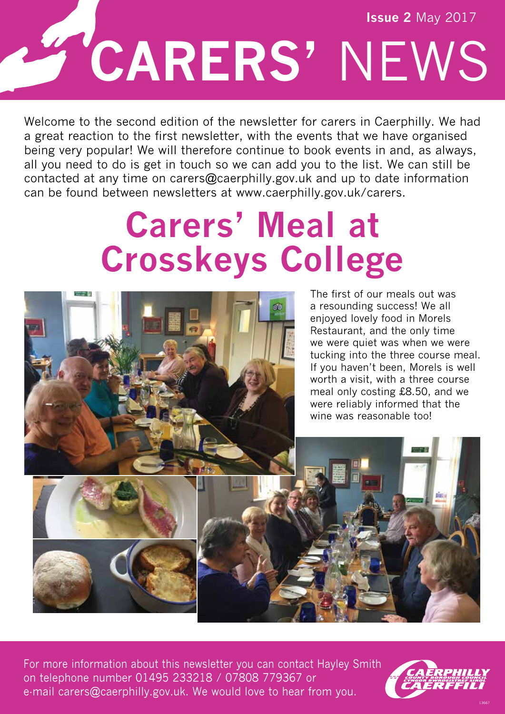# **CARERS'** NEWS **Issue 2** May 2017

Welcome to the second edition of the newsletter for carers in Caerphilly. We had a great reaction to the first newsletter, with the events that we have organised being very popular! We will therefore continue to book events in and, as always, all you need to do is get in touch so we can add you to the list. We can still be contacted at any time on carers@caerphilly.gov.uk and up to date information can be found between newsletters at www.caerphilly.gov.uk/carers.

### **Carers' Meal at Crosskeys College**



The first of our meals out was a resounding success! We all enjoyed lovely food in Morels Restaurant, and the only time we were quiet was when we were tucking into the three course meal. If you haven't been, Morels is well worth a visit, with a three course meal only costing £8.50, and we were reliably informed that the wine was reasonable too!

For more information about this newsletter you can contact Hayley Smith on telephone number 01495 233218 / 07808 779367 or e-mail carers@caerphilly.gov.uk. We would love to hear from you.

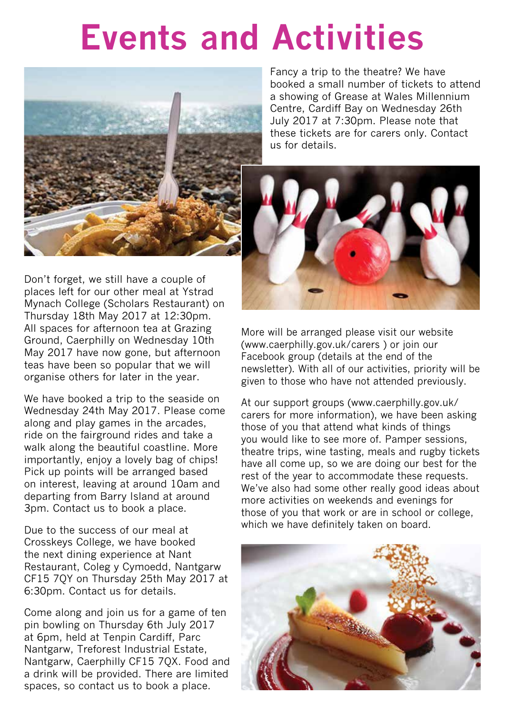### **Events and Activities**



Fancy a trip to the theatre? We have booked a small number of tickets to attend a showing of Grease at Wales Millennium Centre, Cardiff Bay on Wednesday 26th July 2017 at 7:30pm. Please note that these tickets are for carers only. Contact us for details.



Don't forget, we still have a couple of places left for our other meal at Ystrad Mynach College (Scholars Restaurant) on Thursday 18th May 2017 at 12:30pm. All spaces for afternoon tea at Grazing Ground, Caerphilly on Wednesday 10th May 2017 have now gone, but afternoon teas have been so popular that we will organise others for later in the year.

We have booked a trip to the seaside on Wednesday 24th May 2017. Please come along and play games in the arcades, ride on the fairground rides and take a walk along the beautiful coastline. More importantly, enjoy a lovely bag of chips! Pick up points will be arranged based on interest, leaving at around 10am and departing from Barry Island at around 3pm. Contact us to book a place.

Due to the success of our meal at Crosskeys College, we have booked the next dining experience at Nant Restaurant, Coleg y Cymoedd, Nantgarw CF15 7QY on Thursday 25th May 2017 at 6:30pm. Contact us for details.

Come along and join us for a game of ten pin bowling on Thursday 6th July 2017 at 6pm, held at Tenpin Cardiff, Parc Nantgarw, Treforest Industrial Estate, Nantgarw, Caerphilly CF15 7QX. Food and a drink will be provided. There are limited spaces, so contact us to book a place.

More will be arranged please visit our website (www.caerphilly.gov.uk/carers ) or join our Facebook group (details at the end of the newsletter). With all of our activities, priority will be given to those who have not attended previously.

At our support groups (www.caerphilly.gov.uk/ carers for more information), we have been asking those of you that attend what kinds of things you would like to see more of. Pamper sessions, theatre trips, wine tasting, meals and rugby tickets have all come up, so we are doing our best for the rest of the year to accommodate these requests. We've also had some other really good ideas about more activities on weekends and evenings for those of you that work or are in school or college, which we have definitely taken on board.

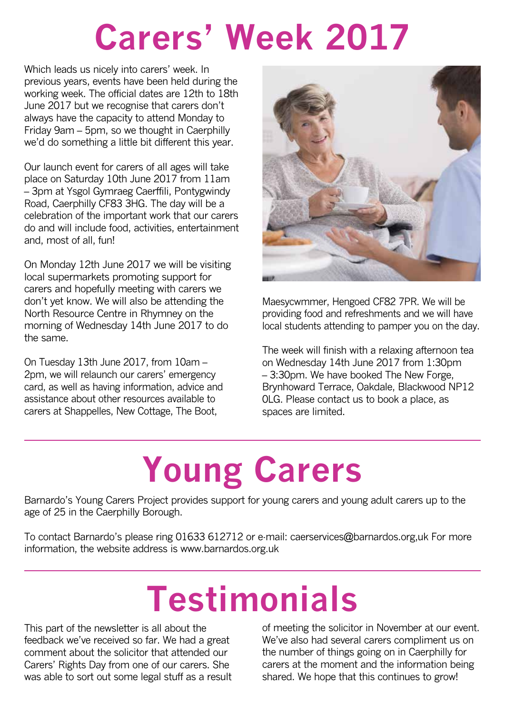## **Carers' Week 2017**

Which leads us nicely into carers' week. In previous years, events have been held during the working week. The official dates are 12th to 18th June 2017 but we recognise that carers don't always have the capacity to attend Monday to Friday 9am – 5pm, so we thought in Caerphilly we'd do something a little bit different this year.

Our launch event for carers of all ages will take place on Saturday 10th June 2017 from 11am – 3pm at Ysgol Gymraeg Caerffili, Pontygwindy Road, Caerphilly CF83 3HG. The day will be a celebration of the important work that our carers do and will include food, activities, entertainment and, most of all, fun!

On Monday 12th June 2017 we will be visiting local supermarkets promoting support for carers and hopefully meeting with carers we don't yet know. We will also be attending the North Resource Centre in Rhymney on the morning of Wednesday 14th June 2017 to do the same.

On Tuesday 13th June 2017, from 10am – 2pm, we will relaunch our carers' emergency card, as well as having information, advice and assistance about other resources available to carers at Shappelles, New Cottage, The Boot,



Maesycwmmer, Hengoed CF82 7PR. We will be providing food and refreshments and we will have local students attending to pamper you on the day.

The week will finish with a relaxing afternoon tea on Wednesday 14th June 2017 from 1:30pm – 3:30pm. We have booked The New Forge, Brynhoward Terrace, Oakdale, Blackwood NP12 0LG. Please contact us to book a place, as spaces are limited.

# **Young Carers**

Barnardo's Young Carers Project provides support for young carers and young adult carers up to the age of 25 in the Caerphilly Borough.

To contact Barnardo's please ring 01633 612712 or e-mail: caerservices@barnardos.org,uk For more information, the website address is www.barnardos.org.uk

## **Testimonials**

This part of the newsletter is all about the feedback we've received so far. We had a great comment about the solicitor that attended our Carers' Rights Day from one of our carers. She was able to sort out some legal stuff as a result of meeting the solicitor in November at our event. We've also had several carers compliment us on the number of things going on in Caerphilly for carers at the moment and the information being shared. We hope that this continues to grow!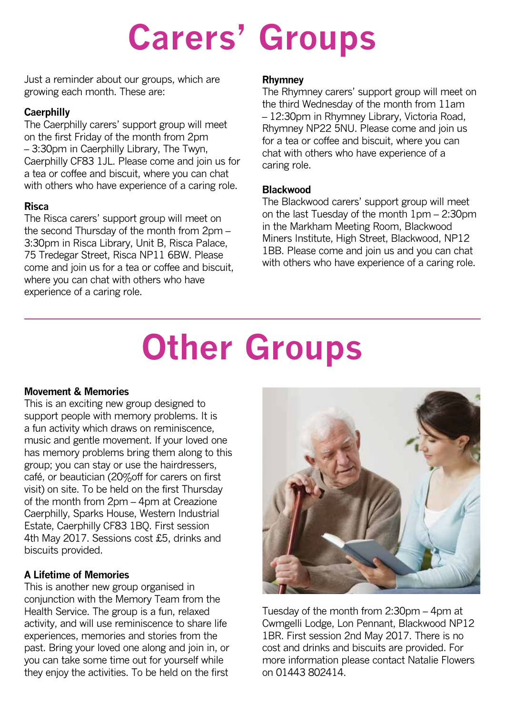## **Carers' Groups**

Just a reminder about our groups, which are growing each month. These are:

#### **Caerphilly**

The Caerphilly carers' support group will meet on the first Friday of the month from 2pm – 3:30pm in Caerphilly Library, The Twyn, Caerphilly CF83 1JL. Please come and join us for a tea or coffee and biscuit, where you can chat with others who have experience of a caring role.

#### **Risca**

The Risca carers' support group will meet on the second Thursday of the month from 2pm – 3:30pm in Risca Library, Unit B, Risca Palace, 75 Tredegar Street, Risca NP11 6BW. Please come and join us for a tea or coffee and biscuit, where you can chat with others who have experience of a caring role.

#### **Rhymney**

The Rhymney carers' support group will meet on the third Wednesday of the month from 11am – 12:30pm in Rhymney Library, Victoria Road, Rhymney NP22 5NU. Please come and join us for a tea or coffee and biscuit, where you can chat with others who have experience of a caring role.

#### **Blackwood**

The Blackwood carers' support group will meet on the last Tuesday of the month 1pm – 2:30pm in the Markham Meeting Room, Blackwood Miners Institute, High Street, Blackwood, NP12 1BB. Please come and join us and you can chat with others who have experience of a caring role.

## **Other Groups**

#### **Movement & Memories**

This is an exciting new group designed to support people with memory problems. It is a fun activity which draws on reminiscence, music and gentle movement. If your loved one has memory problems bring them along to this group; you can stay or use the hairdressers, café, or beautician (20%off for carers on first visit) on site. To be held on the first Thursday of the month from 2pm – 4pm at Creazione Caerphilly, Sparks House, Western Industrial Estate, Caerphilly CF83 1BQ. First session 4th May 2017. Sessions cost £5, drinks and biscuits provided.

#### **A Lifetime of Memories**

This is another new group organised in conjunction with the Memory Team from the Health Service. The group is a fun, relaxed activity, and will use reminiscence to share life experiences, memories and stories from the past. Bring your loved one along and join in, or you can take some time out for yourself while they enjoy the activities. To be held on the first



Tuesday of the month from 2:30pm – 4pm at Cwmgelli Lodge, Lon Pennant, Blackwood NP12 1BR. First session 2nd May 2017. There is no cost and drinks and biscuits are provided. For more information please contact Natalie Flowers on 01443 802414.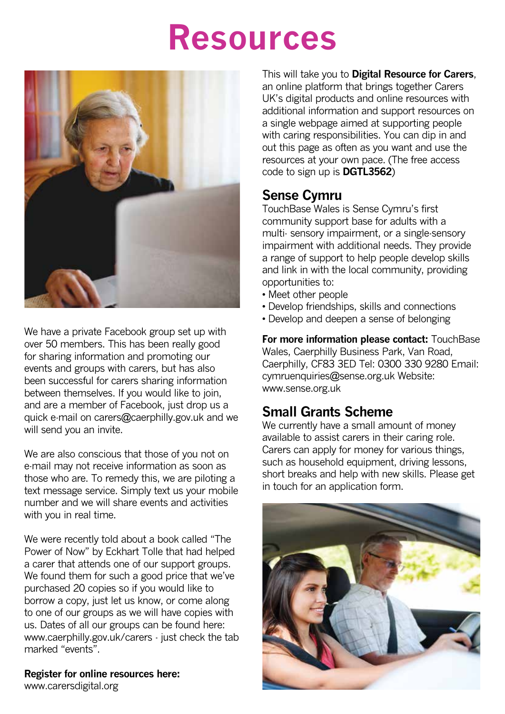### **Resources**



We have a private Facebook group set up with over 50 members. This has been really good for sharing information and promoting our events and groups with carers, but has also been successful for carers sharing information between themselves. If you would like to join, and are a member of Facebook, just drop us a quick e-mail on carers@caerphilly.gov.uk and we will send you an invite.

We are also conscious that those of you not on e-mail may not receive information as soon as those who are. To remedy this, we are piloting a text message service. Simply text us your mobile number and we will share events and activities with you in real time.

We were recently told about a book called "The Power of Now" by Eckhart Tolle that had helped a carer that attends one of our support groups. We found them for such a good price that we've purchased 20 copies so if you would like to borrow a copy, just let us know, or come along to one of our groups as we will have copies with us. Dates of all our groups can be found here: www.caerphilly.gov.uk/carers - just check the tab marked "events".

**Register for online resources here:**  www.carersdigital.org

This will take you to **Digital Resource for Carers**, an online platform that brings together Carers UK's digital products and online resources with additional information and support resources on a single webpage aimed at supporting people with caring responsibilities. You can dip in and out this page as often as you want and use the resources at your own pace. (The free access code to sign up is **DGTL3562**)

#### **Sense Cymru**

TouchBase Wales is Sense Cymru's first community support base for adults with a multi- sensory impairment, or a single-sensory impairment with additional needs. They provide a range of support to help people develop skills and link in with the local community, providing opportunities to:

- Meet other people
- Develop friendships, skills and connections
- Develop and deepen a sense of belonging

**For more information please contact:** TouchBase Wales, Caerphilly Business Park, Van Road, Caerphilly, CF83 3ED Tel: 0300 330 9280 Email: cymruenquiries@sense.org.uk Website: www.sense.org.uk

#### **Small Grants Scheme**

We currently have a small amount of money available to assist carers in their caring role. Carers can apply for money for various things, such as household equipment, driving lessons, short breaks and help with new skills. Please get in touch for an application form.